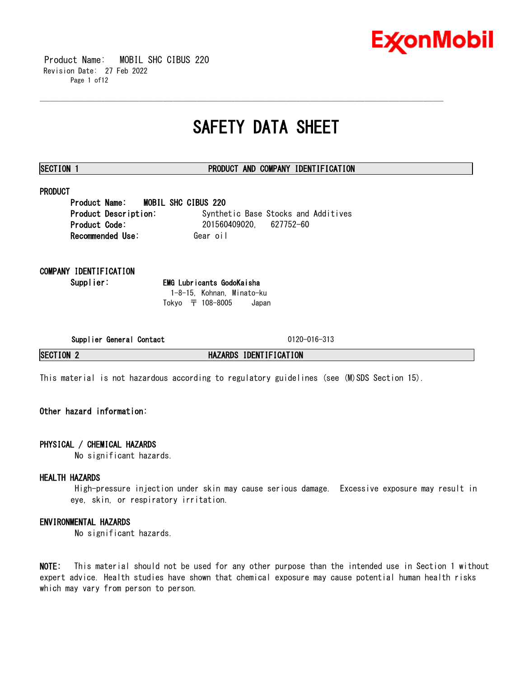

 Product Name: MOBIL SHC CIBUS 220 Revision Date: 27 Feb 2022 Page 1 of12

# **SAFETY DATA SHEET**

\_\_\_\_\_\_\_\_\_\_\_\_\_\_\_\_\_\_\_\_\_\_\_\_\_\_\_\_\_\_\_\_\_\_\_\_\_\_\_\_\_\_\_\_\_\_\_\_\_\_\_\_\_\_\_\_\_\_\_\_\_\_\_\_\_\_\_\_\_\_\_\_\_\_\_\_\_\_\_\_\_\_\_\_\_\_\_\_\_\_\_\_\_\_\_\_\_\_\_\_\_\_\_\_\_\_\_\_\_\_\_\_\_\_\_\_\_\_

# **SECTION 1 PRODUCT AND COMPANY IDENTIFICATION**

# **PRODUCT**

**Product Name: MOBIL SHC CIBUS 220 Product Description:** Synthetic Base Stocks and Additives **Product Code:** 201560409020, 627752-60 **Recommended Use: Gear oil** 

# **COMPANY IDENTIFICATION**

**Supplier: EMG Lubricants GodoKaisha** 1-8-15, Kohnan, Minato-ku Tokyo 〒 108-8005 Japan

**Supplier General Contact** 0120-016-313

**SECTION 2 HAZARDS IDENTIFICATION**

This material is not hazardous according to regulatory guidelines (see (M)SDS Section 15).

# **Other hazard information:**

# **PHYSICAL / CHEMICAL HAZARDS**

No significant hazards.

# **HEALTH HAZARDS**

High-pressure injection under skin may cause serious damage. Excessive exposure may result in eye, skin, or respiratory irritation.

# **ENVIRONMENTAL HAZARDS**

No significant hazards.

**NOTE:** This material should not be used for any other purpose than the intended use in Section 1 without expert advice. Health studies have shown that chemical exposure may cause potential human health risks which may vary from person to person.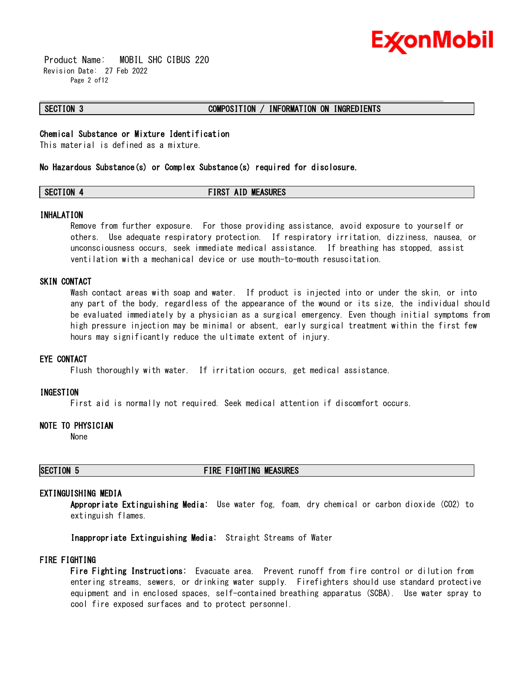

 Product Name: MOBIL SHC CIBUS 220 Revision Date: 27 Feb 2022 Page 2 of12

### **SECTION 3 COMPOSITION / INFORMATION ON INGREDIENTS**

# **Chemical Substance or Mixture Identification**

This material is defined as a mixture.

### **No Hazardous Substance(s) or Complex Substance(s) required for disclosure.**

# **SECTION 4 FIRST AID MEASURES**

\_\_\_\_\_\_\_\_\_\_\_\_\_\_\_\_\_\_\_\_\_\_\_\_\_\_\_\_\_\_\_\_\_\_\_\_\_\_\_\_\_\_\_\_\_\_\_\_\_\_\_\_\_\_\_\_\_\_\_\_\_\_\_\_\_\_\_\_\_\_\_\_\_\_\_\_\_\_\_\_\_\_\_\_\_\_\_\_\_\_\_\_\_\_\_\_\_\_\_\_\_\_\_\_\_\_\_\_\_\_\_\_\_\_\_\_\_\_

### **INHALATION**

Remove from further exposure. For those providing assistance, avoid exposure to yourself or others. Use adequate respiratory protection. If respiratory irritation, dizziness, nausea, or unconsciousness occurs, seek immediate medical assistance. If breathing has stopped, assist ventilation with a mechanical device or use mouth-to-mouth resuscitation.

# **SKIN CONTACT**

Wash contact areas with soap and water. If product is injected into or under the skin, or into any part of the body, regardless of the appearance of the wound or its size, the individual should be evaluated immediately by a physician as a surgical emergency. Even though initial symptoms from high pressure injection may be minimal or absent, early surgical treatment within the first few hours may significantly reduce the ultimate extent of injury.

### **EYE CONTACT**

Flush thoroughly with water. If irritation occurs, get medical assistance.

### **INGESTION**

First aid is normally not required. Seek medical attention if discomfort occurs.

### **NOTE TO PHYSICIAN**

None

# **SECTION 5 FIRE FIGHTING MEASURES**

# **EXTINGUISHING MEDIA**

**Appropriate Extinguishing Media:** Use water fog, foam, dry chemical or carbon dioxide (CO2) to extinguish flames.

**Inappropriate Extinguishing Media:** Straight Streams of Water

## **FIRE FIGHTING**

**Fire Fighting Instructions:** Evacuate area. Prevent runoff from fire control or dilution from entering streams, sewers, or drinking water supply. Firefighters should use standard protective equipment and in enclosed spaces, self-contained breathing apparatus (SCBA). Use water spray to cool fire exposed surfaces and to protect personnel.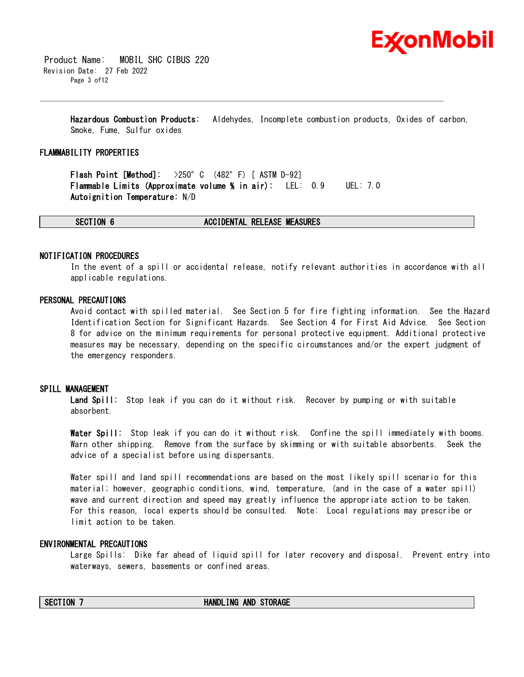

 Product Name: MOBIL SHC CIBUS 220 Revision Date: 27 Feb 2022 Page 3 of12

> **Hazardous Combustion Products:** Aldehydes, Incomplete combustion products, Oxides of carbon, Smoke, Fume, Sulfur oxides

\_\_\_\_\_\_\_\_\_\_\_\_\_\_\_\_\_\_\_\_\_\_\_\_\_\_\_\_\_\_\_\_\_\_\_\_\_\_\_\_\_\_\_\_\_\_\_\_\_\_\_\_\_\_\_\_\_\_\_\_\_\_\_\_\_\_\_\_\_\_\_\_\_\_\_\_\_\_\_\_\_\_\_\_\_\_\_\_\_\_\_\_\_\_\_\_\_\_\_\_\_\_\_\_\_\_\_\_\_\_\_\_\_\_\_\_\_\_

### **FLAMMABILITY PROPERTIES**

**Flash Point [Method]:** >250°C (482°F) [ ASTM D-92] **Flammable Limits (Approximate volume % in air):** LEL: 0.9 UEL: 7.0 **Autoignition Temperature:** N/D

**SECTION 6 ACCIDENTAL RELEASE MEASURES**

### **NOTIFICATION PROCEDURES**

In the event of a spill or accidental release, notify relevant authorities in accordance with all applicable regulations.

### **PERSONAL PRECAUTIONS**

Avoid contact with spilled material. See Section 5 for fire fighting information. See the Hazard Identification Section for Significant Hazards. See Section 4 for First Aid Advice. See Section 8 for advice on the minimum requirements for personal protective equipment. Additional protective measures may be necessary, depending on the specific circumstances and/or the expert judgment of the emergency responders.

### **SPILL MANAGEMENT**

**Land Spill:** Stop leak if you can do it without risk. Recover by pumping or with suitable absorbent.

**Water Spill:** Stop leak if you can do it without risk. Confine the spill immediately with booms. Warn other shipping. Remove from the surface by skimming or with suitable absorbents. Seek the advice of a specialist before using dispersants.

Water spill and land spill recommendations are based on the most likely spill scenario for this material; however, geographic conditions, wind, temperature, (and in the case of a water spill) wave and current direction and speed may greatly influence the appropriate action to be taken. For this reason, local experts should be consulted. Note: Local regulations may prescribe or limit action to be taken.

### **ENVIRONMENTAL PRECAUTIONS**

Large Spills: Dike far ahead of liquid spill for later recovery and disposal. Prevent entry into waterways, sewers, basements or confined areas.

### **SECTION 7 HANDLING AND STORAGE**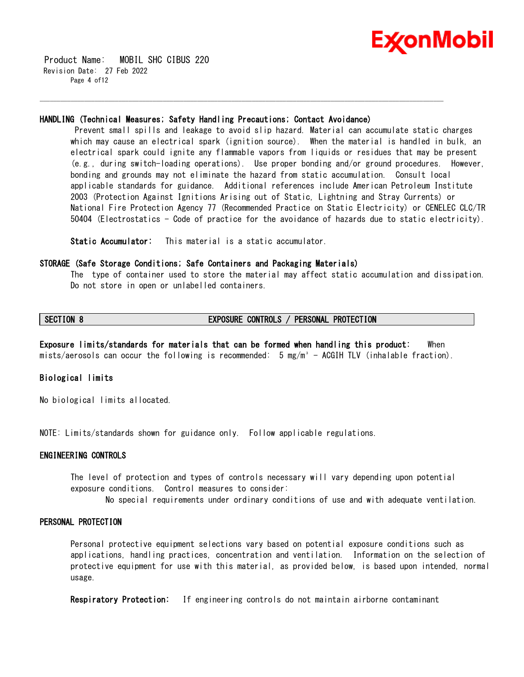

 Product Name: MOBIL SHC CIBUS 220 Revision Date: 27 Feb 2022 Page 4 of 12

### **HANDLING (Technical Measures; Safety Handling Precautions; Contact Avoidance)**

\_\_\_\_\_\_\_\_\_\_\_\_\_\_\_\_\_\_\_\_\_\_\_\_\_\_\_\_\_\_\_\_\_\_\_\_\_\_\_\_\_\_\_\_\_\_\_\_\_\_\_\_\_\_\_\_\_\_\_\_\_\_\_\_\_\_\_\_\_\_\_\_\_\_\_\_\_\_\_\_\_\_\_\_\_\_\_\_\_\_\_\_\_\_\_\_\_\_\_\_\_\_\_\_\_\_\_\_\_\_\_\_\_\_\_\_\_\_

Prevent small spills and leakage to avoid slip hazard. Material can accumulate static charges which may cause an electrical spark (ignition source). When the material is handled in bulk, an electrical spark could ignite any flammable vapors from liquids or residues that may be present (e.g., during switch-loading operations). Use proper bonding and/or ground procedures. However, bonding and grounds may not eliminate the hazard from static accumulation. Consult local applicable standards for guidance. Additional references include American Petroleum Institute 2003 (Protection Against Ignitions Arising out of Static, Lightning and Stray Currents) or National Fire Protection Agency 77 (Recommended Practice on Static Electricity) or CENELEC CLC/TR 50404 (Electrostatics - Code of practice for the avoidance of hazards due to static electricity).

**Static Accumulator:** This material is a static accumulator.

### **STORAGE (Safe Storage Conditions; Safe Containers and Packaging Materials)**

The type of container used to store the material may affect static accumulation and dissipation. Do not store in open or unlabelled containers.

# **SECTION 8 EXPOSURE CONTROLS / PERSONAL PROTECTION**

**Exposure limits/standards for materials that can be formed when handling this product:** When mists/aerosols can occur the following is recommended: 5 mg/m<sup>3</sup> - ACGIH TLV (inhalable fraction).

# **Biological limits**

No biological limits allocated.

NOTE: Limits/standards shown for guidance only. Follow applicable regulations.

### **ENGINEERING CONTROLS**

The level of protection and types of controls necessary will vary depending upon potential exposure conditions. Control measures to consider:

No special requirements under ordinary conditions of use and with adequate ventilation.

### **PERSONAL PROTECTION**

Personal protective equipment selections vary based on potential exposure conditions such as applications, handling practices, concentration and ventilation. Information on the selection of protective equipment for use with this material, as provided below, is based upon intended, normal usage.

**Respiratory Protection:** If engineering controls do not maintain airborne contaminant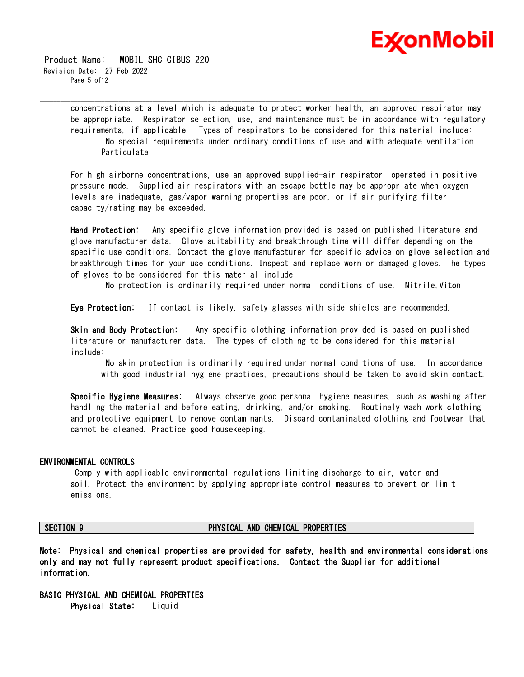

 Product Name: MOBIL SHC CIBUS 220 Revision Date: 27 Feb 2022 Page 5 of 12

> concentrations at a level which is adequate to protect worker health, an approved respirator may be appropriate. Respirator selection, use, and maintenance must be in accordance with regulatory requirements, if applicable. Types of respirators to be considered for this material include: No special requirements under ordinary conditions of use and with adequate ventilation. Particulate

\_\_\_\_\_\_\_\_\_\_\_\_\_\_\_\_\_\_\_\_\_\_\_\_\_\_\_\_\_\_\_\_\_\_\_\_\_\_\_\_\_\_\_\_\_\_\_\_\_\_\_\_\_\_\_\_\_\_\_\_\_\_\_\_\_\_\_\_\_\_\_\_\_\_\_\_\_\_\_\_\_\_\_\_\_\_\_\_\_\_\_\_\_\_\_\_\_\_\_\_\_\_\_\_\_\_\_\_\_\_\_\_\_\_\_\_\_\_

For high airborne concentrations, use an approved supplied-air respirator, operated in positive pressure mode. Supplied air respirators with an escape bottle may be appropriate when oxygen levels are inadequate, gas/vapor warning properties are poor, or if air purifying filter capacity/rating may be exceeded.

**Hand Protection:** Any specific glove information provided is based on published literature and glove manufacturer data. Glove suitability and breakthrough time will differ depending on the specific use conditions. Contact the glove manufacturer for specific advice on glove selection and breakthrough times for your use conditions. Inspect and replace worn or damaged gloves. The types of gloves to be considered for this material include:

No protection is ordinarily required under normal conditions of use. Nitrile,Viton

**Eye Protection:** If contact is likely, safety glasses with side shields are recommended.

**Skin and Body Protection:** Any specific clothing information provided is based on published literature or manufacturer data. The types of clothing to be considered for this material include:

No skin protection is ordinarily required under normal conditions of use. In accordance with good industrial hygiene practices, precautions should be taken to avoid skin contact.

**Specific Hygiene Measures:** Always observe good personal hygiene measures, such as washing after handling the material and before eating, drinking, and/or smoking. Routinely wash work clothing and protective equipment to remove contaminants. Discard contaminated clothing and footwear that cannot be cleaned. Practice good housekeeping.

### **ENVIRONMENTAL CONTROLS**

Comply with applicable environmental regulations limiting discharge to air, water and soil. Protect the environment by applying appropriate control measures to prevent or limit emissions.

## **SECTION 9 PHYSICAL AND CHEMICAL PROPERTIES**

**Note: Physical and chemical properties are provided for safety, health and environmental considerations only and may not fully represent product specifications. Contact the Supplier for additional information.**

**BASIC PHYSICAL AND CHEMICAL PROPERTIES Physical State:** Liquid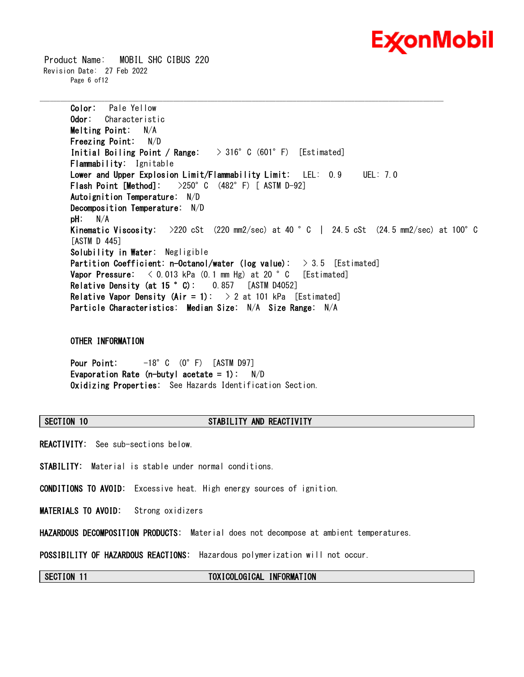

 Product Name: MOBIL SHC CIBUS 220 Revision Date: 27 Feb 2022 Page 6 of12

> **Color:** Pale Yellow **Odor:** Characteristic **Melting Point:** N/A **Freezing Point:** N/D **Initial Boiling Point / Range:** > 316°C (601°F) [Estimated] **Flammability:** Ignitable **Lower and Upper Explosion Limit/Flammability Limit:** LEL: 0.9 UEL: 7.0 **Flash Point [Method]:** >250°C (482°F) [ ASTM D-92] **Autoignition Temperature:** N/D **Decomposition Temperature:** N/D **pH:** N/A **Kinematic Viscosity:** >220 cSt (220 mm2/sec) at 40 °C | 24.5 cSt (24.5 mm2/sec) at 100°C [ASTM D 445] **Solubility in Water:** Negligible **Partition Coefficient: n-Octanol/water (log value):** > 3.5 [Estimated] **Vapor Pressure:**  $\langle 0.013 \text{ kPa} (0.1 \text{ mm Hg}) \text{ at } 20 \degree \text{ C}$  [Estimated] **Relative Density (at 15 °C):** 0.857 [ASTM D4052] **Relative Vapor Density (Air = 1):**  $> 2$  at 101 kPa [Estimated] **Particle Characteristics: Median Size:** N/A **Size Range:** N/A

\_\_\_\_\_\_\_\_\_\_\_\_\_\_\_\_\_\_\_\_\_\_\_\_\_\_\_\_\_\_\_\_\_\_\_\_\_\_\_\_\_\_\_\_\_\_\_\_\_\_\_\_\_\_\_\_\_\_\_\_\_\_\_\_\_\_\_\_\_\_\_\_\_\_\_\_\_\_\_\_\_\_\_\_\_\_\_\_\_\_\_\_\_\_\_\_\_\_\_\_\_\_\_\_\_\_\_\_\_\_\_\_\_\_\_\_\_\_

# **OTHER INFORMATION**

**Pour Point:** -18°C (0°F) [ASTM D97] **Evaporation Rate (n-butyl acetate = 1):** N/D **Oxidizing Properties:** See Hazards Identification Section.

# **SECTION 10 STABILITY AND REACTIVITY**

**REACTIVITY:** See sub-sections below.

**STABILITY:** Material is stable under normal conditions.

**CONDITIONS TO AVOID:** Excessive heat. High energy sources of ignition.

**MATERIALS TO AVOID:** Strong oxidizers

**HAZARDOUS DECOMPOSITION PRODUCTS:** Material does not decompose at ambient temperatures.

**POSSIBILITY OF HAZARDOUS REACTIONS:** Hazardous polymerization will not occur.

**SECTION 11 TOXICOLOGICAL INFORMATION**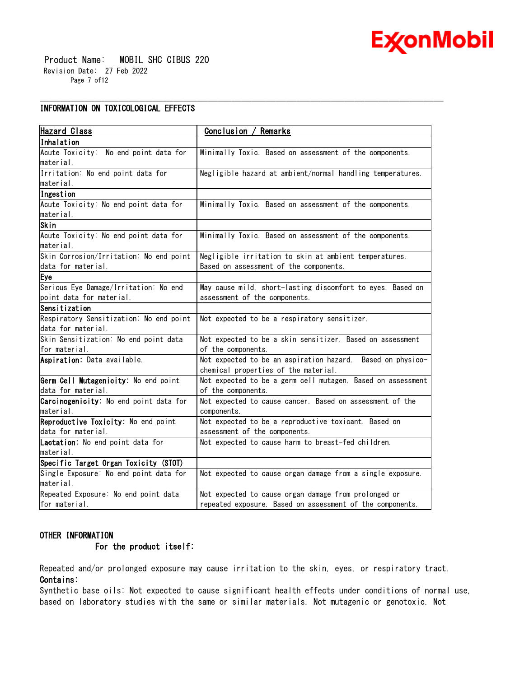

 Product Name: MOBIL SHC CIBUS 220 Revision Date: 27 Feb 2022 Page 7 of12

# **INFORMATION ON TOXICOLOGICAL EFFECTS**

| <b>Hazard Class</b>                     | Conclusion / Remarks                                                                               |  |  |
|-----------------------------------------|----------------------------------------------------------------------------------------------------|--|--|
| lInhalation                             |                                                                                                    |  |  |
| Acute Toxicity: No end point data for   | Minimally Toxic. Based on assessment of the components.                                            |  |  |
| material.                               |                                                                                                    |  |  |
| Irritation: No end point data for       | Negligible hazard at ambient/normal handling temperatures.                                         |  |  |
| lmaterial.                              |                                                                                                    |  |  |
| Ingestion                               |                                                                                                    |  |  |
| Acute Toxicity: No end point data for   | Minimally Toxic. Based on assessment of the components.                                            |  |  |
| material.                               |                                                                                                    |  |  |
| Skin                                    |                                                                                                    |  |  |
| Acute Toxicity: No end point data for   | Minimally Toxic. Based on assessment of the components.                                            |  |  |
| material.                               |                                                                                                    |  |  |
| Skin Corrosion/Irritation: No end point | Negligible irritation to skin at ambient temperatures.                                             |  |  |
| data for material.                      | Based on assessment of the components.                                                             |  |  |
| Eye                                     |                                                                                                    |  |  |
| Serious Eye Damage/Irritation: No end   | May cause mild, short-lasting discomfort to eyes. Based on                                         |  |  |
| point data for material.                | assessment of the components.                                                                      |  |  |
| Sensitization                           |                                                                                                    |  |  |
| Respiratory Sensitization: No end point | Not expected to be a respiratory sensitizer.                                                       |  |  |
| data for material.                      |                                                                                                    |  |  |
| Skin Sensitization: No end point data   | Not expected to be a skin sensitizer. Based on assessment                                          |  |  |
| for material.                           | of the components.                                                                                 |  |  |
| Aspiration: Data available.             | Not expected to be an aspiration hazard. Based on physico-<br>chemical properties of the material. |  |  |
|                                         |                                                                                                    |  |  |
| Germ Cell Mutagenicity: No end point    | Not expected to be a germ cell mutagen. Based on assessment                                        |  |  |
| data for material.                      | of the components.                                                                                 |  |  |
| Carcinogenicity: No end point data for  | Not expected to cause cancer. Based on assessment of the                                           |  |  |
| material.                               | components.                                                                                        |  |  |
| Reproductive Toxicity: No end point     | Not expected to be a reproductive toxicant. Based on                                               |  |  |
| data for material.                      | assessment of the components.                                                                      |  |  |
| Lactation: No end point data for        | Not expected to cause harm to breast-fed children.                                                 |  |  |
| material.                               |                                                                                                    |  |  |
| Specific Target Organ Toxicity (STOT)   |                                                                                                    |  |  |
| Single Exposure: No end point data for  | Not expected to cause organ damage from a single exposure.                                         |  |  |
| material.                               |                                                                                                    |  |  |
| Repeated Exposure: No end point data    | Not expected to cause organ damage from prolonged or                                               |  |  |
| for material.                           | repeated exposure. Based on assessment of the components.                                          |  |  |

\_\_\_\_\_\_\_\_\_\_\_\_\_\_\_\_\_\_\_\_\_\_\_\_\_\_\_\_\_\_\_\_\_\_\_\_\_\_\_\_\_\_\_\_\_\_\_\_\_\_\_\_\_\_\_\_\_\_\_\_\_\_\_\_\_\_\_\_\_\_\_\_\_\_\_\_\_\_\_\_\_\_\_\_\_\_\_\_\_\_\_\_\_\_\_\_\_\_\_\_\_\_\_\_\_\_\_\_\_\_\_\_\_\_\_\_\_\_

# **OTHER INFORMATION**

# **For the product itself:**

Repeated and/or prolonged exposure may cause irritation to the skin, eyes, or respiratory tract. **Contains:**

Synthetic base oils: Not expected to cause significant health effects under conditions of normal use, based on laboratory studies with the same or similar materials. Not mutagenic or genotoxic. Not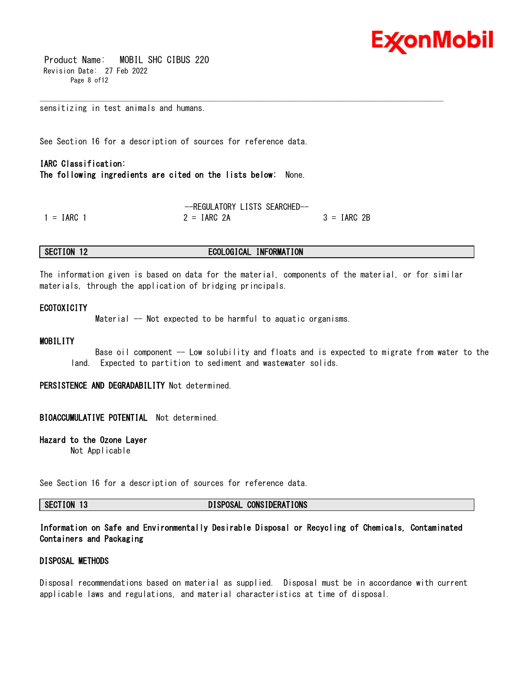

 Product Name: MOBIL SHC CIBUS 220 Revision Date: 27 Feb 2022 Page 8 of12

sensitizing in test animals and humans.

See Section 16 for a description of sources for reference data.

# **IARC Classification: The following ingredients are cited on the lists below:** None.

--REGULATORY LISTS SEARCHED--  $1 = IARC 1$  2 =  $IARC 2A$  3 =  $IARC 2B$ 

# **SECTION 12 ECOLOGICAL INFORMATION**

The information given is based on data for the material, components of the material, or for similar materials, through the application of bridging principals.

\_\_\_\_\_\_\_\_\_\_\_\_\_\_\_\_\_\_\_\_\_\_\_\_\_\_\_\_\_\_\_\_\_\_\_\_\_\_\_\_\_\_\_\_\_\_\_\_\_\_\_\_\_\_\_\_\_\_\_\_\_\_\_\_\_\_\_\_\_\_\_\_\_\_\_\_\_\_\_\_\_\_\_\_\_\_\_\_\_\_\_\_\_\_\_\_\_\_\_\_\_\_\_\_\_\_\_\_\_\_\_\_\_\_\_\_\_\_

### **ECOTOXICITY**

Material -- Not expected to be harmful to aquatic organisms.

### **MOBILITY**

Base oil component -- Low solubility and floats and is expected to migrate from water to the land. Expected to partition to sediment and wastewater solids.

**PERSISTENCE AND DEGRADABILITY** Not determined.

### **BIOACCUMULATIVE POTENTIAL** Not determined.

**Hazard to the Ozone Layer** 

Not Applicable

See Section 16 for a description of sources for reference data.

**SECTION 13 DISPOSAL CONSIDERATIONS**

**Information on Safe and Environmentally Desirable Disposal or Recycling of Chemicals, Contaminated Containers and Packaging** 

# **DISPOSAL METHODS**

Disposal recommendations based on material as supplied. Disposal must be in accordance with current applicable laws and regulations, and material characteristics at time of disposal.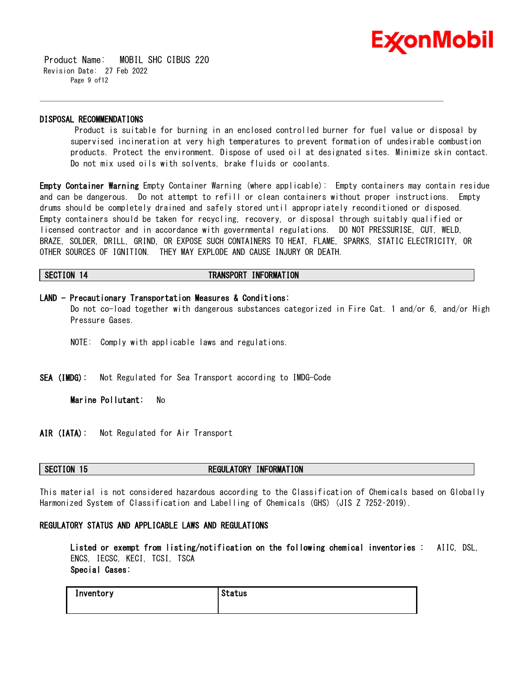

 Product Name: MOBIL SHC CIBUS 220 Revision Date: 27 Feb 2022 Page 9 of12

### **DISPOSAL RECOMMENDATIONS**

Product is suitable for burning in an enclosed controlled burner for fuel value or disposal by supervised incineration at very high temperatures to prevent formation of undesirable combustion products. Protect the environment. Dispose of used oil at designated sites. Minimize skin contact. Do not mix used oils with solvents, brake fluids or coolants.

**Empty Container Warning** Empty Container Warning (where applicable): Empty containers may contain residue and can be dangerous. Do not attempt to refill or clean containers without proper instructions. Empty drums should be completely drained and safely stored until appropriately reconditioned or disposed. Empty containers should be taken for recycling, recovery, or disposal through suitably qualified or licensed contractor and in accordance with governmental regulations. DO NOT PRESSURISE, CUT, WELD, BRAZE, SOLDER, DRILL, GRIND, OR EXPOSE SUCH CONTAINERS TO HEAT, FLAME, SPARKS, STATIC ELECTRICITY, OR OTHER SOURCES OF IGNITION. THEY MAY EXPLODE AND CAUSE INJURY OR DEATH.

\_\_\_\_\_\_\_\_\_\_\_\_\_\_\_\_\_\_\_\_\_\_\_\_\_\_\_\_\_\_\_\_\_\_\_\_\_\_\_\_\_\_\_\_\_\_\_\_\_\_\_\_\_\_\_\_\_\_\_\_\_\_\_\_\_\_\_\_\_\_\_\_\_\_\_\_\_\_\_\_\_\_\_\_\_\_\_\_\_\_\_\_\_\_\_\_\_\_\_\_\_\_\_\_\_\_\_\_\_\_\_\_\_\_\_\_\_\_

## **SECTION 14 TRANSPORT INFORMATION**

### **LAND - Precautionary Transportation Measures & Conditions:**

Do not co-load together with dangerous substances categorized in Fire Cat. 1 and/or 6, and/or High Pressure Gases.

- NOTE: Comply with applicable laws and regulations.
- **SEA (IMDG):** Not Regulated for Sea Transport according to IMDG-Code

**Marine Pollutant:** No

**AIR (IATA):** Not Regulated for Air Transport

# **SECTION 15 REGULATORY INFORMATION**

This material is not considered hazardous according to the Classification of Chemicals based on Globally Harmonized System of Classification and Labelling of Chemicals (GHS) (JIS Z 7252–2019).

# **REGULATORY STATUS AND APPLICABLE LAWS AND REGULATIONS**

**Listed or exempt from listing/notification on the following chemical inventories :** AIIC, DSL, ENCS, IECSC, KECI, TCSI, TSCA **Special Cases:**

| Inventory | <b>Status</b> |
|-----------|---------------|
|           |               |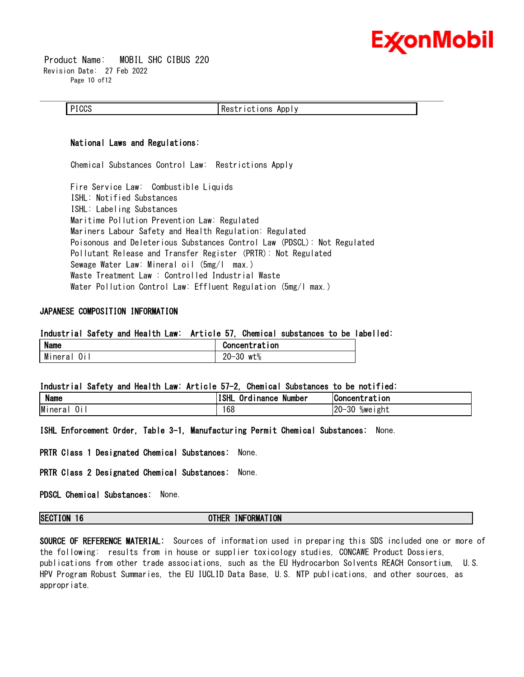

 Product Name: MOBIL SHC CIBUS 220 Revision Date: 27 Feb 2022 Page 10 of 12

### **National Laws and Regulations:**

Chemical Substances Control Law: Restrictions Apply

Fire Service Law: Combustible Liquids ISHL: Notified Substances ISHL: Labeling Substances Maritime Pollution Prevention Law: Regulated Mariners Labour Safety and Health Regulation: Regulated Poisonous and Deleterious Substances Control Law (PDSCL): Not Regulated Pollutant Release and Transfer Register (PRTR): Not Regulated Sewage Water Law: Mineral oil (5mg/l max.) Waste Treatment Law : Controlled Industrial Waste Water Pollution Control Law: Effluent Regulation (5mg/l max.)

# **JAPANESE COMPOSITION INFORMATION**

### **Industrial Safety and Health Law: Article 57, Chemical substances to be labelled:**

| <b>Name</b> | Concentration                      |
|-------------|------------------------------------|
| Mineral     | nn<br>or<br>wt%<br>--<br>۰J∪<br>∠∪ |

# **Industrial Safety and Health Law: Article 57-2, Chemical Substances to be notified:**

| <b>Name</b>       | <b>ISHL</b><br>. .<br>Number<br>Urd<br><b>Inance</b> | <b>Concentration</b>                  |
|-------------------|------------------------------------------------------|---------------------------------------|
| Minera<br>0i<br>ά | 168                                                  | $120 -$<br>$\Omega$<br>%weıght<br>∙ა∪ |

**ISHL Enforcement Order, Table 3-1, Manufacturing Permit Chemical Substances:** None.

**PRTR Class 1 Designated Chemical Substances:** None.

**PRTR Class 2 Designated Chemical Substances:** None.

**PDSCL Chemical Substances:** None.

# **SECTION 16 OTHER INFORMATION**

**SOURCE OF REFERENCE MATERIAL:** Sources of information used in preparing this SDS included one or more of the following: results from in house or supplier toxicology studies, CONCAWE Product Dossiers, publications from other trade associations, such as the EU Hydrocarbon Solvents REACH Consortium, U.S. HPV Program Robust Summaries, the EU IUCLID Data Base, U.S. NTP publications, and other sources, as appropriate.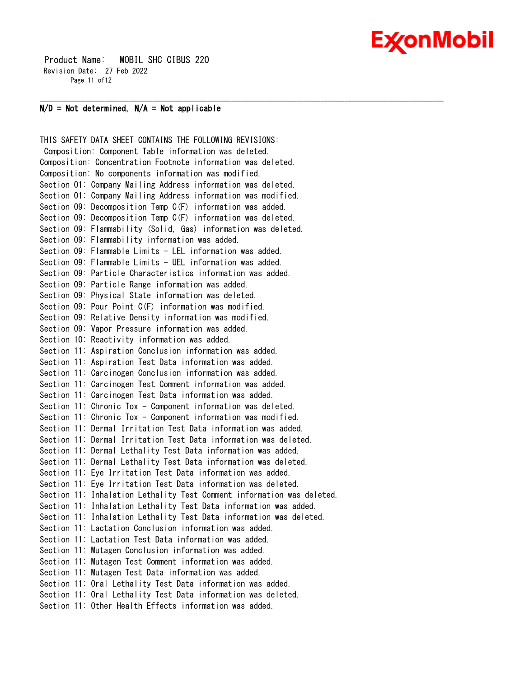# Ex⁄onMobil

 Product Name: MOBIL SHC CIBUS 220 Revision Date: 27 Feb 2022 Page 11 of 12

# **N/D = Not determined, N/A = Not applicable**

THIS SAFETY DATA SHEET CONTAINS THE FOLLOWING REVISIONS: Composition: Component Table information was deleted. Composition: Concentration Footnote information was deleted. Composition: No components information was modified. Section 01: Company Mailing Address information was deleted. Section 01: Company Mailing Address information was modified. Section 09: Decomposition Temp C(F) information was added. Section 09: Decomposition Temp C(F) information was deleted. Section 09: Flammability (Solid, Gas) information was deleted. Section 09: Flammability information was added. Section 09: Flammable Limits - LEL information was added. Section 09: Flammable Limits - UEL information was added. Section 09: Particle Characteristics information was added. Section 09: Particle Range information was added. Section 09: Physical State information was deleted. Section 09: Pour Point C(F) information was modified. Section 09: Relative Density information was modified. Section 09: Vapor Pressure information was added. Section 10: Reactivity information was added. Section 11: Aspiration Conclusion information was added. Section 11: Aspiration Test Data information was added. Section 11: Carcinogen Conclusion information was added. Section 11: Carcinogen Test Comment information was added. Section 11: Carcinogen Test Data information was added. Section 11: Chronic Tox - Component information was deleted. Section 11: Chronic Tox - Component information was modified. Section 11: Dermal Irritation Test Data information was added. Section 11: Dermal Irritation Test Data information was deleted. Section 11: Dermal Lethality Test Data information was added. Section 11: Dermal Lethality Test Data information was deleted. Section 11: Eye Irritation Test Data information was added. Section 11: Eye Irritation Test Data information was deleted. Section 11: Inhalation Lethality Test Comment information was deleted. Section 11: Inhalation Lethality Test Data information was added. Section 11: Inhalation Lethality Test Data information was deleted. Section 11: Lactation Conclusion information was added. Section 11: Lactation Test Data information was added. Section 11: Mutagen Conclusion information was added. Section 11: Mutagen Test Comment information was added. Section 11: Mutagen Test Data information was added. Section 11: Oral Lethality Test Data information was added. Section 11: Oral Lethality Test Data information was deleted. Section 11: Other Health Effects information was added.

\_\_\_\_\_\_\_\_\_\_\_\_\_\_\_\_\_\_\_\_\_\_\_\_\_\_\_\_\_\_\_\_\_\_\_\_\_\_\_\_\_\_\_\_\_\_\_\_\_\_\_\_\_\_\_\_\_\_\_\_\_\_\_\_\_\_\_\_\_\_\_\_\_\_\_\_\_\_\_\_\_\_\_\_\_\_\_\_\_\_\_\_\_\_\_\_\_\_\_\_\_\_\_\_\_\_\_\_\_\_\_\_\_\_\_\_\_\_